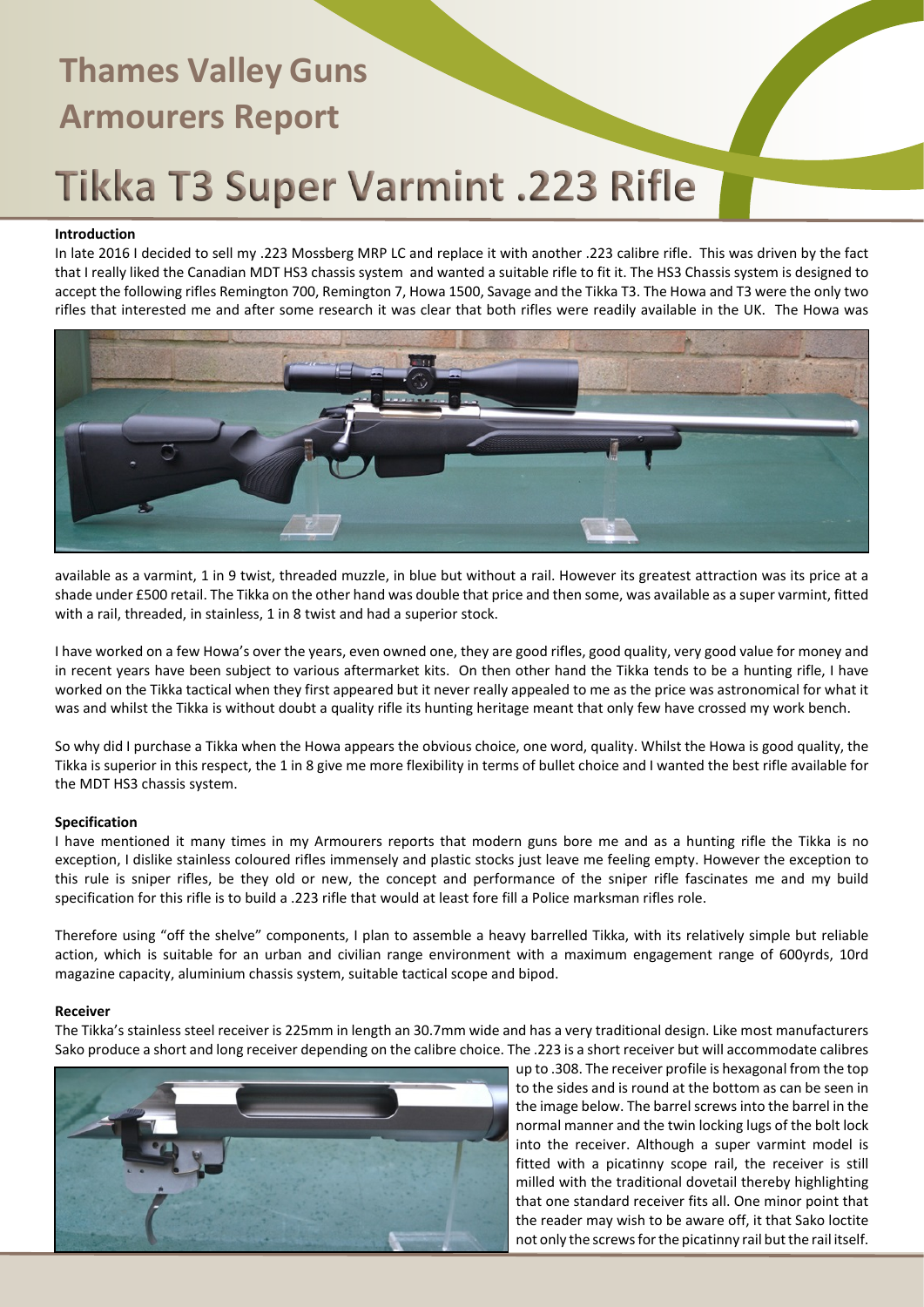# Tikka T3 Super Varmint .223 Rifle

### **Introduction**

In late 2016 I decided to sell my .223 Mossberg MRP LC and replace it with another .223 calibre rifle. This was driven by the fact that I really liked the Canadian MDT HS3 chassis system and wanted a suitable rifle to fit it. The HS3 Chassis system is designed to accept the following rifles Remington 700, Remington 7, Howa 1500, Savage and the Tikka T3. The Howa and T3 were the only two rifles that interested me and after some research it was clear that both rifles were readily available in the UK. The Howa was



available as a varmint, 1 in 9 twist, threaded muzzle, in blue but without a rail. However its greatest attraction was its price at a shade under £500 retail. The Tikka on the other hand was double that price and then some, was available as a super varmint, fitted with a rail, threaded, in stainless, 1 in 8 twist and had a superior stock.

I have worked on a few Howa's over the years, even owned one, they are good rifles, good quality, very good value for money and in recent years have been subject to various aftermarket kits. On then other hand the Tikka tends to be a hunting rifle, I have worked on the Tikka tactical when they first appeared but it never really appealed to me as the price was astronomical for what it was and whilst the Tikka is without doubt a quality rifle its hunting heritage meant that only few have crossed my work bench.

So why did I purchase a Tikka when the Howa appears the obvious choice, one word, quality. Whilst the Howa is good quality, the Tikka is superior in this respect, the 1 in 8 give me more flexibility in terms of bullet choice and I wanted the best rifle available for the MDT HS3 chassis system.

### **Specification**

I have mentioned it many times in my Armourers reports that modern guns bore me and as a hunting rifle the Tikka is no exception, I dislike stainless coloured rifles immensely and plastic stocks just leave me feeling empty. However the exception to this rule is sniper rifles, be they old or new, the concept and performance of the sniper rifle fascinates me and my build specification for this rifle is to build a .223 rifle that would at least fore fill a Police marksman rifles role.

Therefore using "off the shelve" components, I plan to assemble a heavy barrelled Tikka, with its relatively simple but reliable action, which is suitable for an urban and civilian range environment with a maximum engagement range of 600yrds, 10rd magazine capacity, aluminium chassis system, suitable tactical scope and bipod.

### **Receiver**

The Tikka's stainless steel receiver is 225mm in length an 30.7mm wide and has a very traditional design. Like most manufacturers Sako produce a short and long receiver depending on the calibre choice. The .223 is a short receiver but will accommodate calibres



up to .308. The receiver profile is hexagonal from the top to the sides and is round at the bottom as can be seen in the image below. The barrel screws into the barrel in the normal manner and the twin locking lugs of the bolt lock into the receiver. Although a super varmint model is fitted with a picatinny scope rail, the receiver is still milled with the traditional dovetail thereby highlighting that one standard receiver fits all. One minor point that the reader may wish to be aware off, it that Sako loctite not only the screws for the picatinny rail but the rail itself.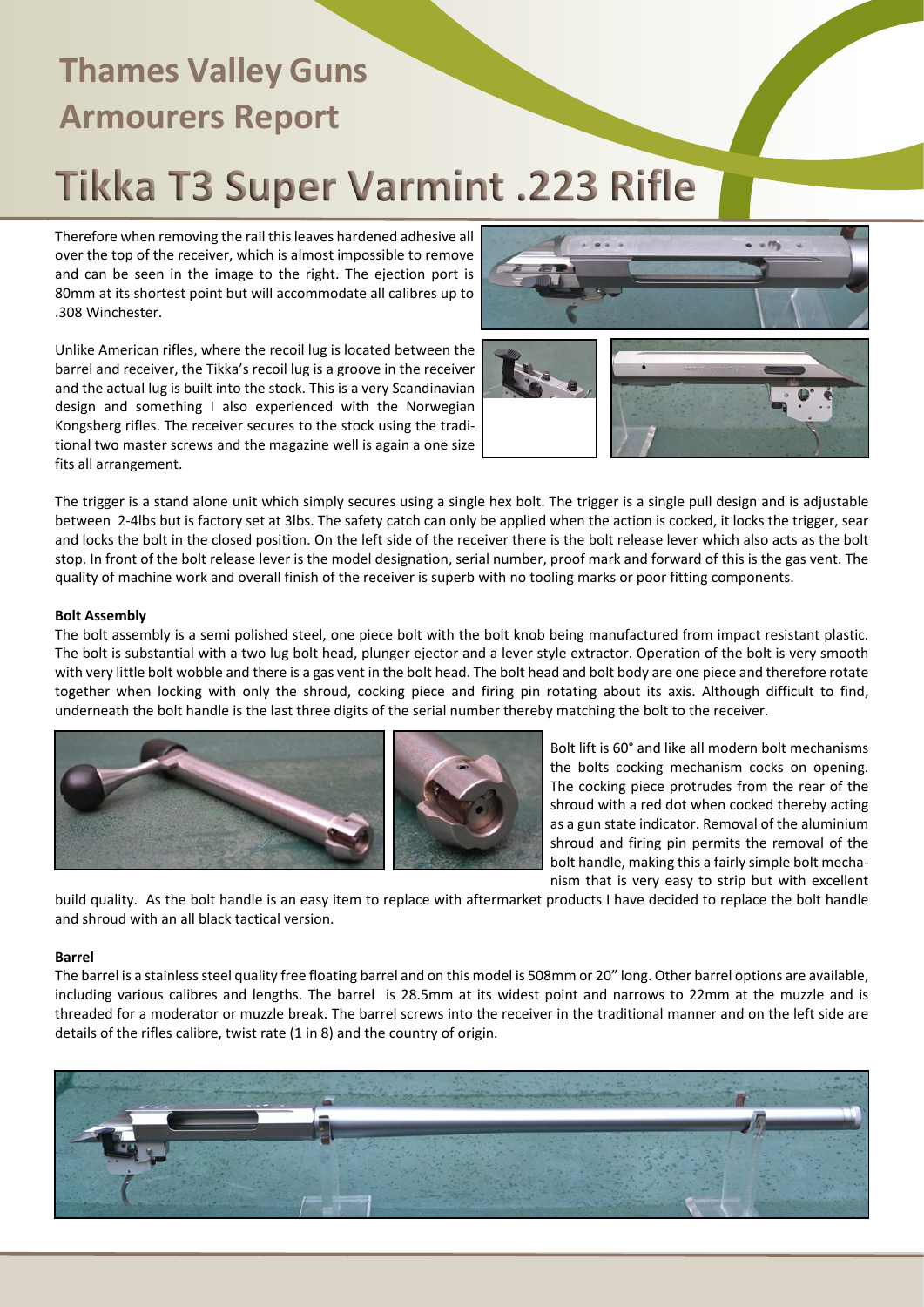# Tikka T3 Super Varmint .223 Rifle

Therefore when removing the rail this leaves hardened adhesive all over the top of the receiver, which is almost impossible to remove and can be seen in the image to the right. The ejection port is 80mm at its shortest point but will accommodate all calibres up to .308 Winchester.

Unlike American rifles, where the recoil lug is located between the barrel and receiver, the Tikka's recoil lug is a groove in the receiver and the actual lug is built into the stock. This is a very Scandinavian design and something I also experienced with the Norwegian Kongsberg rifles. The receiver secures to the stock using the traditional two master screws and the magazine well is again a one size fits all arrangement.





The trigger is a stand alone unit which simply secures using a single hex bolt. The trigger is a single pull design and is adjustable between 2-4lbs but is factory set at 3lbs. The safety catch can only be applied when the action is cocked, it locks the trigger, sear and locks the bolt in the closed position. On the left side of the receiver there is the bolt release lever which also acts as the bolt stop. In front of the bolt release lever is the model designation, serial number, proof mark and forward of this is the gas vent. The quality of machine work and overall finish of the receiver is superb with no tooling marks or poor fitting components.

### **Bolt Assembly**

The bolt assembly is a semi polished steel, one piece bolt with the bolt knob being manufactured from impact resistant plastic. The bolt is substantial with a two lug bolt head, plunger ejector and a lever style extractor. Operation of the bolt is very smooth with very little bolt wobble and there is a gas vent in the bolt head. The bolt head and bolt body are one piece and therefore rotate together when locking with only the shroud, cocking piece and firing pin rotating about its axis. Although difficult to find, underneath the bolt handle is the last three digits of the serial number thereby matching the bolt to the receiver.



Bolt lift is 60° and like all modern bolt mechanisms the bolts cocking mechanism cocks on opening. The cocking piece protrudes from the rear of the shroud with a red dot when cocked thereby acting as a gun state indicator. Removal of the aluminium shroud and firing pin permits the removal of the bolt handle, making this a fairly simple bolt mechanism that is very easy to strip but with excellent

build quality. As the bolt handle is an easy item to replace with aftermarket products I have decided to replace the bolt handle and shroud with an all black tactical version.

### **Barrel**

The barrel is a stainless steel quality free floating barrel and on this model is 508mm or 20" long. Other barrel options are available, including various calibres and lengths. The barrel is 28.5mm at its widest point and narrows to 22mm at the muzzle and is threaded for a moderator or muzzle break. The barrel screws into the receiver in the traditional manner and on the left side are details of the rifles calibre, twist rate (1 in 8) and the country of origin.

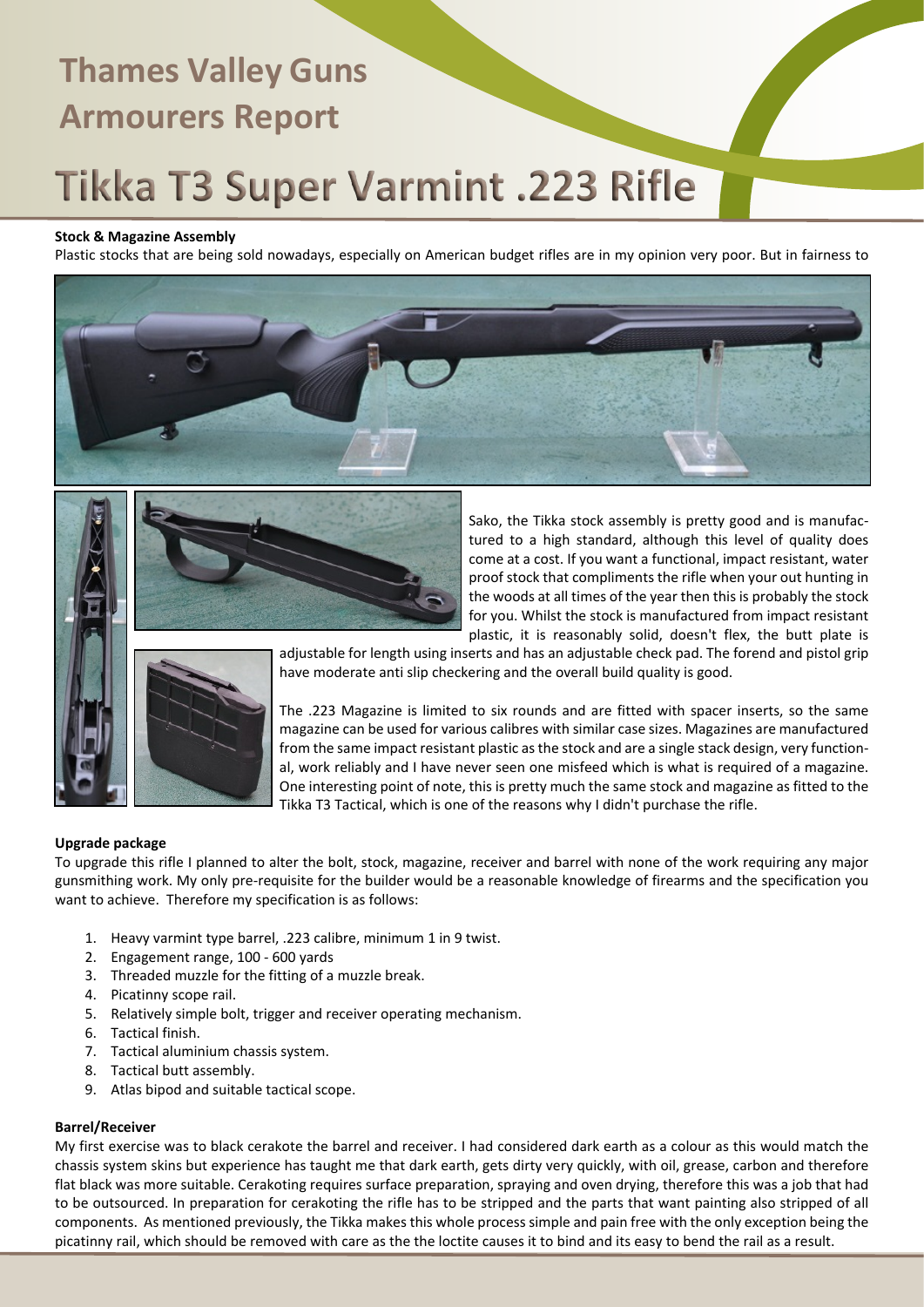# Tikka T3 Super Varmint .223 Rifle

## **Stock & Magazine Assembly**

Plastic stocks that are being sold nowadays, especially on American budget rifles are in my opinion very poor. But in fairness to





Sako, the Tikka stock assembly is pretty good and is manufactured to a high standard, although this level of quality does come at a cost. If you want a functional, impact resistant, water proof stock that compliments the rifle when your out hunting in the woods at all times of the year then this is probably the stock for you. Whilst the stock is manufactured from impact resistant plastic, it is reasonably solid, doesn't flex, the butt plate is



adjustable for length using inserts and has an adjustable check pad. The forend and pistol grip have moderate anti slip checkering and the overall build quality is good.

The .223 Magazine is limited to six rounds and are fitted with spacer inserts, so the same magazine can be used for various calibres with similar case sizes. Magazines are manufactured from the same impact resistant plastic as the stock and are a single stack design, very functional, work reliably and I have never seen one misfeed which is what is required of a magazine. One interesting point of note, this is pretty much the same stock and magazine as fitted to the Tikka T3 Tactical, which is one of the reasons why I didn't purchase the rifle.

## **Upgrade package**

To upgrade this rifle I planned to alter the bolt, stock, magazine, receiver and barrel with none of the work requiring any major gunsmithing work. My only pre-requisite for the builder would be a reasonable knowledge of firearms and the specification you want to achieve. Therefore my specification is as follows:

- 1. Heavy varmint type barrel, .223 calibre, minimum 1 in 9 twist.
- 2. Engagement range, 100 600 yards
- 3. Threaded muzzle for the fitting of a muzzle break.
- 4. Picatinny scope rail.
- 5. Relatively simple bolt, trigger and receiver operating mechanism.
- 6. Tactical finish.
- 7. Tactical aluminium chassis system.
- 8. Tactical butt assembly.
- 9. Atlas bipod and suitable tactical scope.

## **Barrel/Receiver**

My first exercise was to black cerakote the barrel and receiver. I had considered dark earth as a colour as this would match the chassis system skins but experience has taught me that dark earth, gets dirty very quickly, with oil, grease, carbon and therefore flat black was more suitable. Cerakoting requires surface preparation, spraying and oven drying, therefore this was a job that had to be outsourced. In preparation for cerakoting the rifle has to be stripped and the parts that want painting also stripped of all components. As mentioned previously, the Tikka makes this whole process simple and pain free with the only exception being the picatinny rail, which should be removed with care as the the loctite causes it to bind and its easy to bend the rail as a result.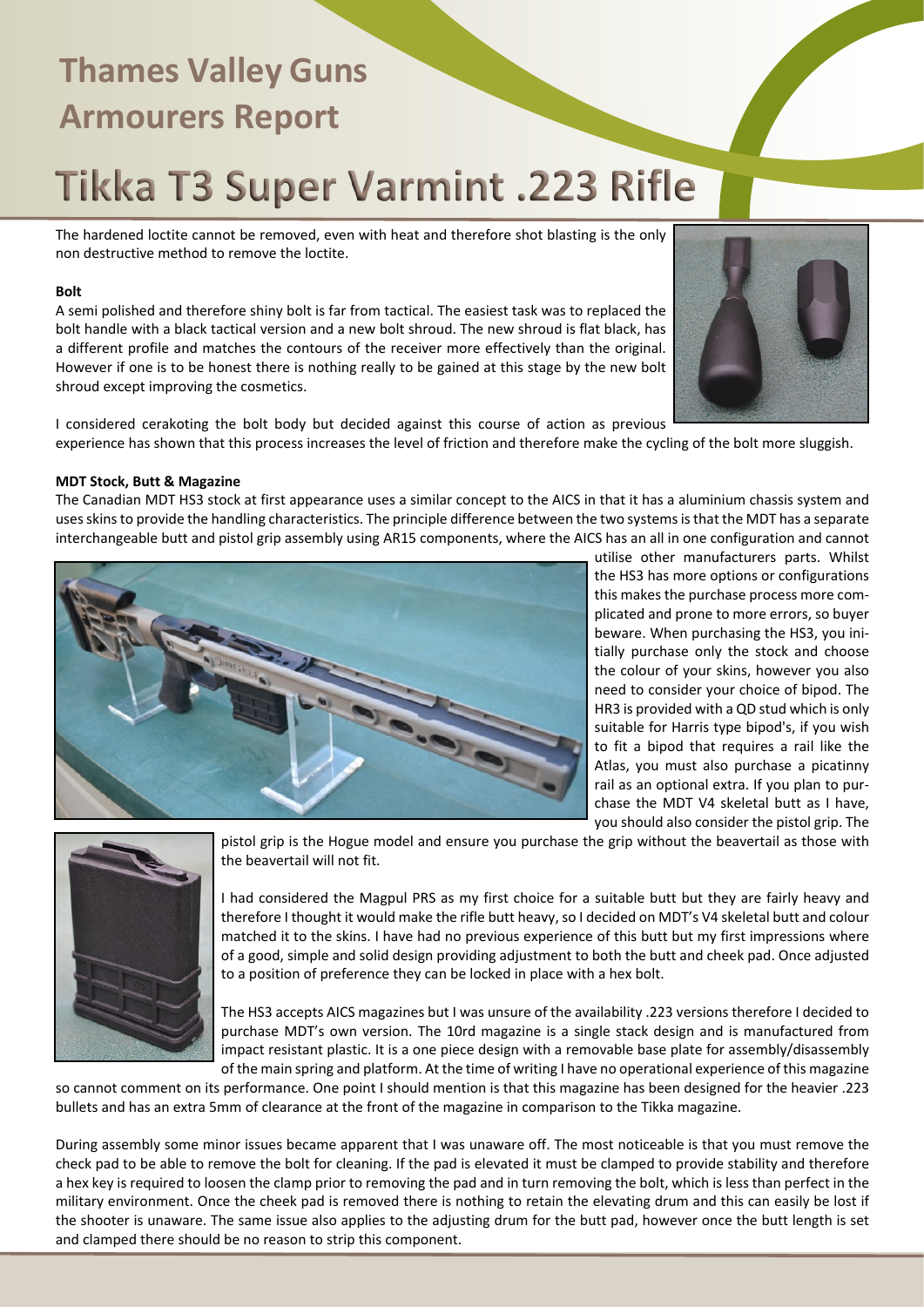# Tikka T3 Super Varmint .223 Rifle

The hardened loctite cannot be removed, even with heat and therefore shot blasting is the only non destructive method to remove the loctite.

### **Bolt**

A semi polished and therefore shiny bolt is far from tactical. The easiest task was to replaced the bolt handle with a black tactical version and a new bolt shroud. The new shroud is flat black, has a different profile and matches the contours of the receiver more effectively than the original. However if one is to be honest there is nothing really to be gained at this stage by the new bolt shroud except improving the cosmetics.



I considered cerakoting the bolt body but decided against this course of action as previous experience has shown that this process increases the level of friction and therefore make the cycling of the bolt more sluggish.

### **MDT Stock, Butt & Magazine**

The Canadian MDT HS3 stock at first appearance uses a similar concept to the AICS in that it has a aluminium chassis system and uses skins to provide the handling characteristics. The principle difference between the two systems is that the MDT has a separate interchangeable butt and pistol grip assembly using AR15 components, where the AICS has an all in one configuration and cannot



utilise other manufacturers parts. Whilst the HS3 has more options or configurations this makes the purchase process more complicated and prone to more errors, so buyer beware. When purchasing the HS3, you initially purchase only the stock and choose the colour of your skins, however you also need to consider your choice of bipod. The HR3 is provided with a QD stud which is only suitable for Harris type bipod's, if you wish to fit a bipod that requires a rail like the Atlas, you must also purchase a picatinny rail as an optional extra. If you plan to purchase the MDT V4 skeletal butt as I have, you should also consider the pistol grip. The



pistol grip is the Hogue model and ensure you purchase the grip without the beavertail as those with the beavertail will not fit.

I had considered the Magpul PRS as my first choice for a suitable butt but they are fairly heavy and therefore I thought it would make the rifle butt heavy, so I decided on MDT's V4 skeletal butt and colour matched it to the skins. I have had no previous experience of this butt but my first impressions where of a good, simple and solid design providing adjustment to both the butt and cheek pad. Once adjusted to a position of preference they can be locked in place with a hex bolt.

The HS3 accepts AICS magazines but I was unsure of the availability .223 versions therefore I decided to purchase MDT's own version. The 10rd magazine is a single stack design and is manufactured from impact resistant plastic. It is a one piece design with a removable base plate for assembly/disassembly of the main spring and platform. At the time of writing I have no operational experience of this magazine

so cannot comment on its performance. One point I should mention is that this magazine has been designed for the heavier .223 bullets and has an extra 5mm of clearance at the front of the magazine in comparison to the Tikka magazine.

During assembly some minor issues became apparent that I was unaware off. The most noticeable is that you must remove the check pad to be able to remove the bolt for cleaning. If the pad is elevated it must be clamped to provide stability and therefore a hex key is required to loosen the clamp prior to removing the pad and in turn removing the bolt, which is less than perfect in the military environment. Once the cheek pad is removed there is nothing to retain the elevating drum and this can easily be lost if the shooter is unaware. The same issue also applies to the adjusting drum for the butt pad, however once the butt length is set and clamped there should be no reason to strip this component.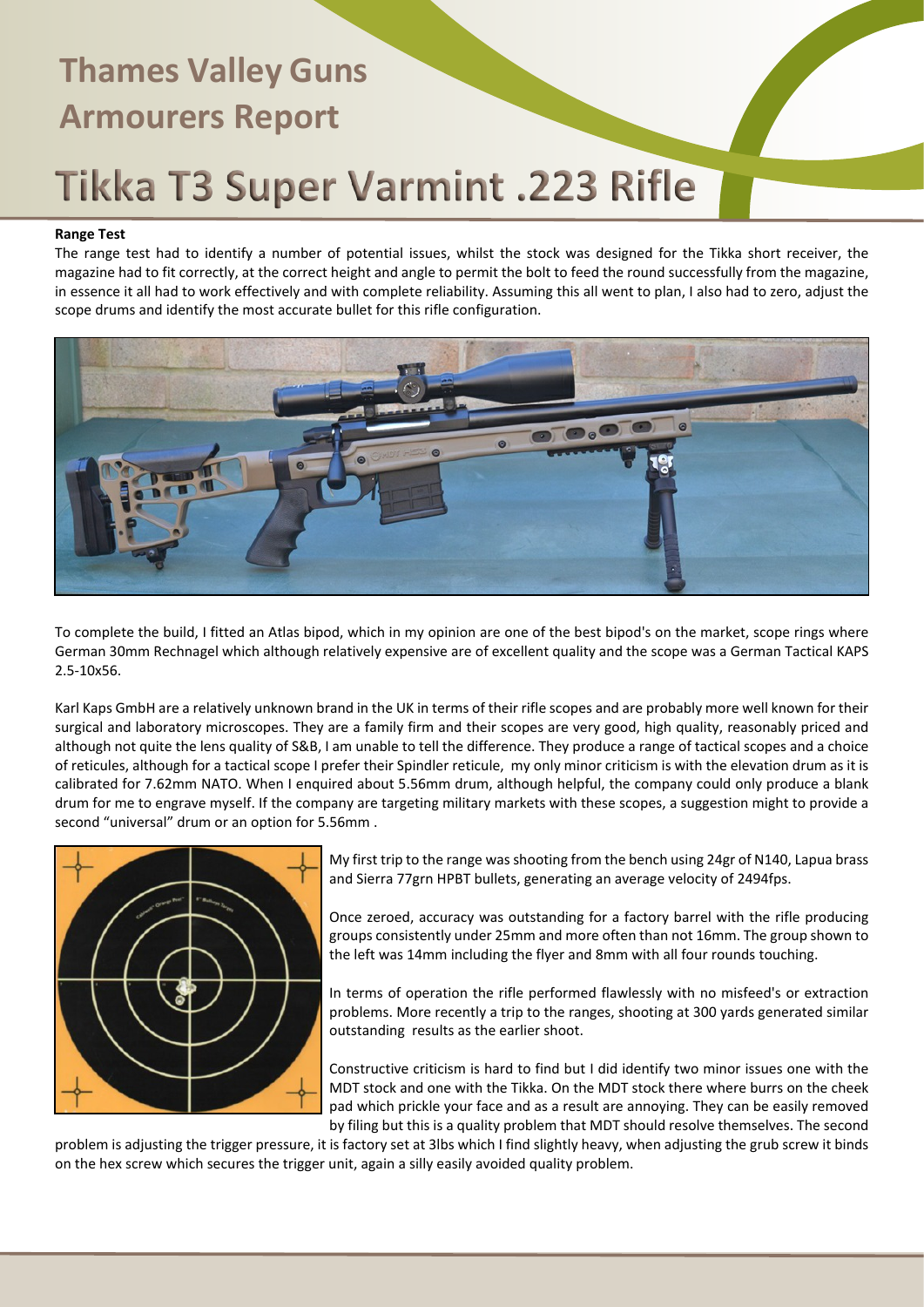# **Thames Valley Guns Armourers Report** Tikka T3 Super Varmint .223 Rifle

## **Range Test**

The range test had to identify a number of potential issues, whilst the stock was designed for the Tikka short receiver, the magazine had to fit correctly, at the correct height and angle to permit the bolt to feed the round successfully from the magazine, in essence it all had to work effectively and with complete reliability. Assuming this all went to plan, I also had to zero, adjust the scope drums and identify the most accurate bullet for this rifle configuration.



To complete the build, I fitted an Atlas bipod, which in my opinion are one of the best bipod's on the market, scope rings where German 30mm Rechnagel which although relatively expensive are of excellent quality and the scope was a German Tactical KAPS 2.5-10x56.

Karl Kaps GmbH are a relatively unknown brand in the UK in terms of their rifle scopes and are probably more well known for their surgical and laboratory microscopes. They are a family firm and their scopes are very good, high quality, reasonably priced and although not quite the lens quality of S&B, I am unable to tell the difference. They produce a range of tactical scopes and a choice of reticules, although for a tactical scope I prefer their Spindler reticule, my only minor criticism is with the elevation drum as it is calibrated for 7.62mm NATO. When I enquired about 5.56mm drum, although helpful, the company could only produce a blank drum for me to engrave myself. If the company are targeting military markets with these scopes, a suggestion might to provide a second "universal" drum or an option for 5.56mm .



My first trip to the range was shooting from the bench using 24gr of N140, Lapua brass and Sierra 77grn HPBT bullets, generating an average velocity of 2494fps.

Once zeroed, accuracy was outstanding for a factory barrel with the rifle producing groups consistently under 25mm and more often than not 16mm. The group shown to the left was 14mm including the flyer and 8mm with all four rounds touching.

In terms of operation the rifle performed flawlessly with no misfeed's or extraction problems. More recently a trip to the ranges, shooting at 300 yards generated similar outstanding results as the earlier shoot.

Constructive criticism is hard to find but I did identify two minor issues one with the MDT stock and one with the Tikka. On the MDT stock there where burrs on the cheek pad which prickle your face and as a result are annoying. They can be easily removed by filing but this is a quality problem that MDT should resolve themselves. The second

problem is adjusting the trigger pressure, it is factory set at 3lbs which I find slightly heavy, when adjusting the grub screw it binds on the hex screw which secures the trigger unit, again a silly easily avoided quality problem.